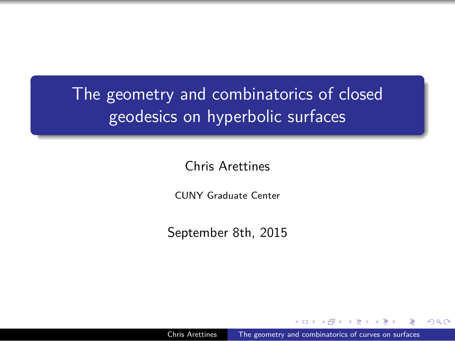The geometry and combinatorics of closed geodesics on hyperbolic surfaces

Chris Arettines

CUNY Graduate Center

September 8th, 2015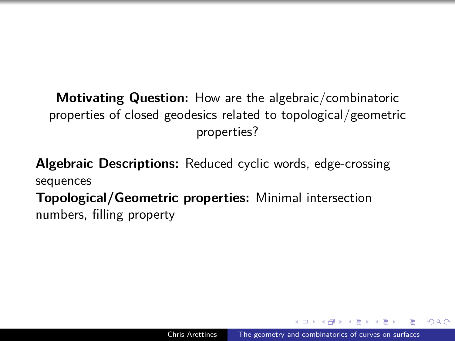**Motivating Question:** How are the algebraic/combinatoric properties of closed geodesics related to topological/geometric properties?

**Algebraic Descriptions:** Reduced cyclic words, edge-crossing sequences **Topological/Geometric properties:** Minimal intersection

numbers, filling property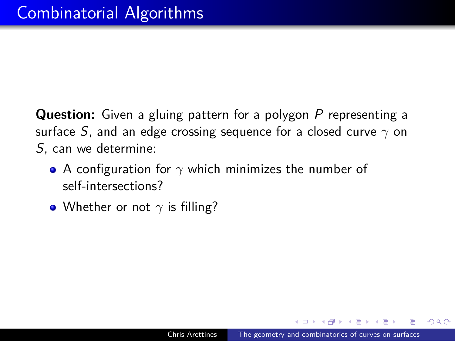# Combinatorial Algorithms

Question: Given a gluing pattern for a polygon P representing a surface S, and an edge crossing sequence for a closed curve *γ* on S, can we determine:

- A configuration for *γ* which minimizes the number of self-intersections?
- Whether or not  $\gamma$  is filling?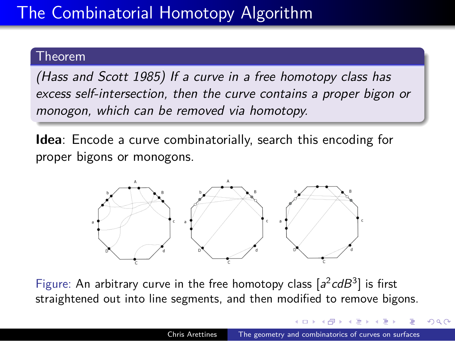# The Combinatorial Homotopy Algorithm

#### Theorem

(Hass and Scott 1985) If a curve in a free homotopy class has excess self-intersection, then the curve contains a proper bigon or monogon, which can be removed via homotopy.

**Idea**: Encode a curve combinatorially, search this encoding for proper bigons or monogons.



Figure: An arbitrary curve in the free homotopy class  $[a^2cdB^3]$  is first straightened out into line segments, and then modified to remove bigons.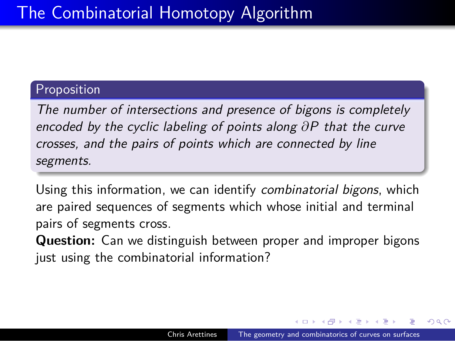# The Combinatorial Homotopy Algorithm

#### Proposition

The number of intersections and presence of bigons is completely encoded by the cyclic labeling of points along *∂*P that the curve crosses, and the pairs of points which are connected by line segments.

Using this information, we can identify combinatorial bigons, which are paired sequences of segments which whose initial and terminal pairs of segments cross.

**Question:** Can we distinguish between proper and improper bigons just using the combinatorial information?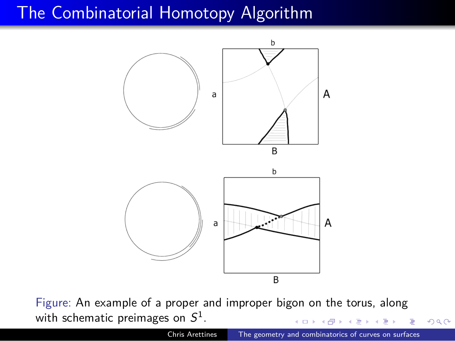



 $\begin{aligned} \mathbf{A} \in \mathbb{R} \times \mathbb{R} \rightarrow \mathbb{R} \times \mathbb{R} \times \mathbb{R} \times \mathbb{R} \times \mathbb{R} \times \mathbb{R} \times \mathbb{R} \times \mathbb{R} \times \mathbb{R} \times \mathbb{R} \times \mathbb{R} \times \mathbb{R} \times \mathbb{R} \times \mathbb{R} \times \mathbb{R} \times \mathbb{R} \times \mathbb{R} \times \mathbb{R} \times \mathbb{R} \times \mathbb{R} \times \mathbb{R} \times \mathbb{R} \times \mathbb{R} \times \mathbb{R} \$ Figure: An example of a proper and improper bigon on the torus, along with schematic preimages on  $\mathcal{S}^1.$ 

| .               | イロ トイラト イミト イミト ニュー インペ(*)                           |  |
|-----------------|------------------------------------------------------|--|
| Chris Arettines | The geometry and combinatorics of curves on surfaces |  |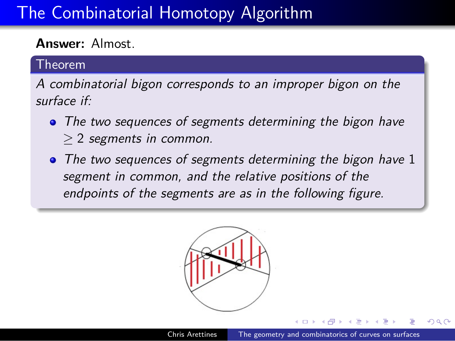# The Combinatorial Homotopy Algorithm

#### **Answer:** Almost.

#### Theorem

A combinatorial bigon corresponds to an improper bigon on the surface if:

- The two sequences of segments determining the bigon have *≥* 2 segments in common.
- The two sequences of segments determining the bigon have 1 segment in common, and the relative positions of the endpoints of the segments are as in the following figure.

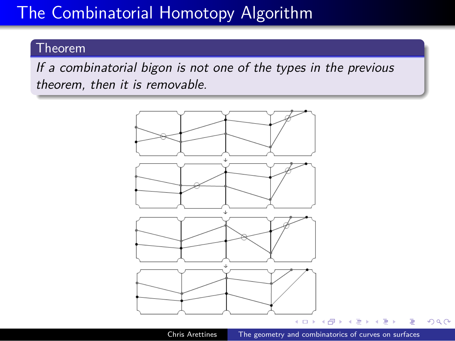# The Combinatorial Homotopy Algorithm

## Theorem

If a combinatorial bigon is not one of the types in the previous theorem, then it is removable.

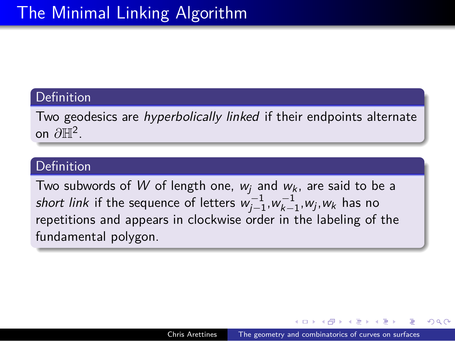### Definition

Two geodesics are hyperbolically linked if their endpoints alternate on *∂*H<sup>2</sup> .

### **Definition**

Two subwords of  $W$  of length one,  $w_j$  and  $w_k$ , are said to be a short link if the sequence of letters  $w_{j-1}^{-1}, w_{k-1}^{-1}, w_j, w_k$  has no repetitions and appears in clockwise order in the labeling of the fundamental polygon.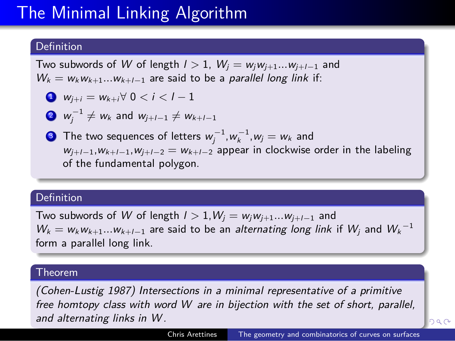#### Definition

Two subwords of W of length  $l > 1$ ,  $W_j = w_j w_{j+1} ... w_{j+l-1}$  and  $W_k = w_k w_{k+1} ... w_{k+l-1}$  are said to be a *parallel long link* if:

$$
w_{j+i} = w_{k+i} \forall \ 0 < i < l-1
$$

2  $w_j^{-1} ≠ w_k$  and  $w_{j+l-1} ≠ w_{k+l-1}$ 

**3** The two sequences of letters  $w_j^{-1}, w_k^{-1}, w_j = w_k$  and wj+l*−*<sup>1</sup>,wk+l*−*<sup>1</sup>,wj+l*−*<sup>2</sup> = wk+l*−*<sup>2</sup> appear in clockwise order in the labeling of the fundamental polygon.

#### Definition

Two subwords of W of length l *>* 1,W<sup>j</sup> = wjwj+1*...*wj+l*−*<sup>1</sup> and  $W_k = w_k w_{k+1} ... w_{k+l-1}$  are said to be an *alternating long link* if  $W_j$  and  $W_k^{-1}$ form a parallel long link.

#### Theorem

(Cohen-Lustig 1987) Intersections in a minimal representative of a primitive free homtopy class with word W are in bijection with the set of short, parallel, and alternating links in W.

Chris Arettines The geometry and combinatorics of curves on surfaces

 $Q \sim$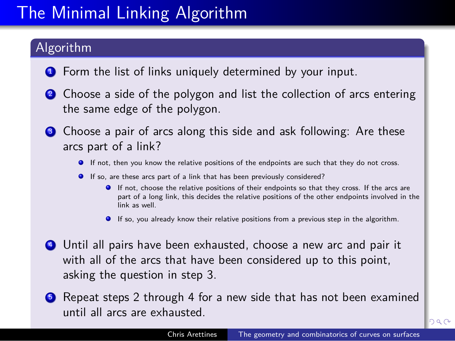#### Algorithm

- **1** Form the list of links uniquely determined by your input.
- <sup>2</sup> Choose a side of the polygon and list the collection of arcs entering the same edge of the polygon.
- Choose a pair of arcs along this side and ask following: Are these arcs part of a link?
	- **If not, then you know the relative positions of the endpoints are such that they do not cross.**
	- If so, are these arcs part of a link that has been previously considered?
		- If not, choose the relative positions of their endpoints so that they cross. If the arcs are part of a long link, this decides the relative positions of the other endpoints involved in the link as well.

Chris Arettines The geometry and combinatorics of curves on surfaces

 $Q \sim$ 

- If so, you already know their relative positions from a previous step in the algorithm.
- <sup>4</sup> Until all pairs have been exhausted, choose a new arc and pair it with all of the arcs that have been considered up to this point, asking the question in step 3.
- **6** Repeat steps 2 through 4 for a new side that has not been examined until all arcs are exhausted.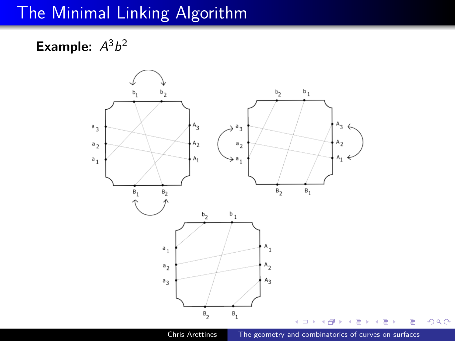**Example:**  $A^3b^2$ 

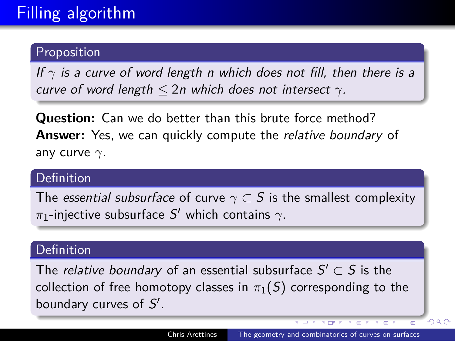### Proposition

If  $\gamma$  is a curve of word length n which does not fill, then there is a curve of word length *≤* 2n which does not intersect *γ*.

**Question:** Can we do better than this brute force method? **Answer:** Yes, we can quickly compute the relative boundary of any curve *γ*.

### **Definition**

The essential subsurface of curve  $\gamma \subset S$  is the smallest complexity *π*1-injective subsurface S *′* which contains *γ*.

#### Definition

The relative boundary of an essential subsurface S *′ ⊂* S is the collection of free homotopy classes in  $\pi_1(S)$  corresponding to the boundary curves of S *′* .

. . . . . . . . . .

. . .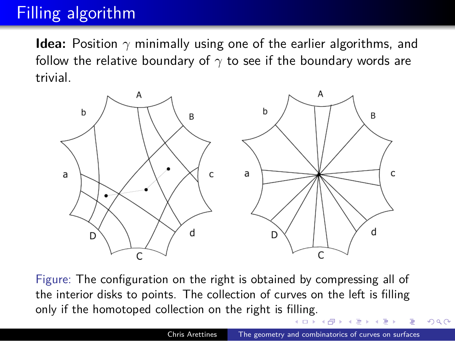**Idea:** Position *γ* minimally using one of the earlier algorithms, and follow the relative boundary of *γ* to see if the boundary words are trivial.



. . . only if the homotoped collection on the right is filling. Figure: The configuration on the right is obtained by compressing all of the interior disks to points. The collection of curves on the left is filling

. .  $\sigma$  $\mathcal{A} \geq \mathcal{A} \times \mathcal{B}.$ . .  $2QQ$ and combinatorics of curves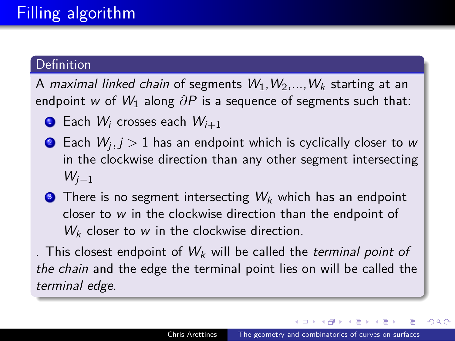#### Definition

A maximal linked chain of segments  $W_1, W_2,...,W_k$  starting at an endpoint w of W<sub>1</sub> along  $\partial P$  is a sequence of segments such that:

- **1** Each  $W_i$  crosses each  $W_{i+1}$
- $\bullet$  Each  $W_j, j > 1$  has an endpoint which is cyclically closer to w in the clockwise direction than any other segment intersecting Wj*−*<sup>1</sup>
- **3** There is no segment intersecting  $W_k$  which has an endpoint closer to w in the clockwise direction than the endpoint of  $W_k$  closer to  $w$  in the clockwise direction.

. This closest endpoint of  $W_k$  will be called the terminal point of the chain and the edge the terminal point lies on will be called the terminal edge.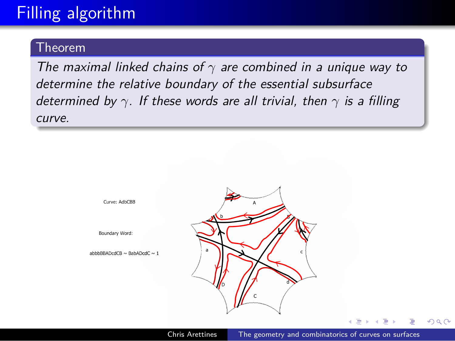## Theorem

The maximal linked chains of *γ* are combined in a unique way to determine the relative boundary of the essential subsurface determined by *γ*. If these words are all trivial, then *γ* is a filling curve.

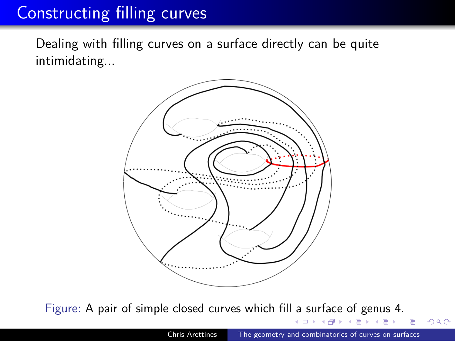Dealing with filling curves on a surface directly can be quite intimidating...



Figure: A pair of simple closed curves which fill a surface of genus 4.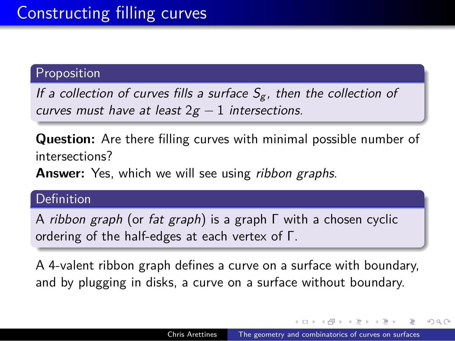#### Proposition

If a collection of curves fills a surface  $S_g$ , then the collection of curves must have at least 2g *−* 1 intersections.

**Question:** Are there filling curves with minimal possible number of intersections?

Answer: Yes, which we will see using ribbon graphs.

### Definition

A ribbon graph (or fat graph) is a graph Γ with a chosen cyclic ordering of the half-edges at each vertex of Γ.

A 4-valent ribbon graph defines a curve on a surface with boundary, and by plugging in disks, a curve on a surface without boundary.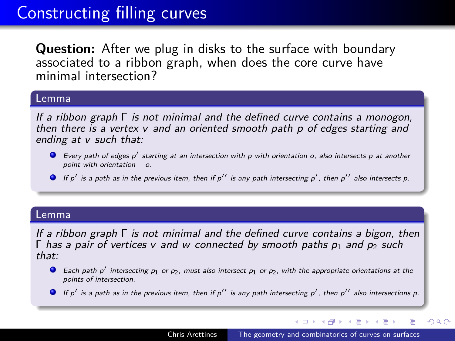**Question:** After we plug in disks to the surface with boundary associated to a ribbon graph, when does the core curve have minimal intersection?

#### Lemma

If a ribbon graph Γ is not minimal and the defined curve contains a monogon, then there is a vertex v and an oriented smooth path p of edges starting and ending at v such that:

- Every path of edges p<sup>'</sup> starting at an intersection with p with orientation o, also intersects p at another point with orientation *−*o.
- If p*′* is a path as in the previous item, then if p*′′* is any path intersecting p*′* , then p*′′* also intersects p.

#### Lemma

If a ribbon graph Γ is not minimal and the defined curve contains a bigon, then Γ has a pair of vertices v and w connected by smooth paths  $p_1$  and  $p_2$  such that:

- Each path p<sup>'</sup> intersecting  $p_1$  or  $p_2$ , must also intersect  $p_1$  or  $p_2$ , with the appropriate orientations at the points of intersection.
- If p*′* is a path as in the previous item, then if p*′′* is any path intersecting p*′* , then p*′′* also intersections p.

Chris Arettines The geometry and combinatorics of curves on surfaces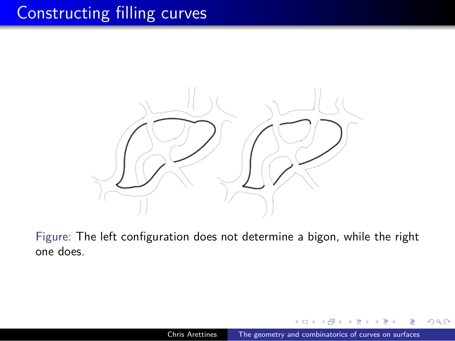

Figure: The left configuration does not determine a bigon, while the right one does.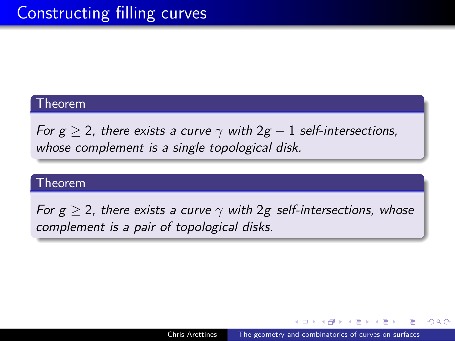## Theorem

For  $g \ge 2$ , there exists a curve  $\gamma$  with  $2g - 1$  self-intersections, whose complement is a single topological disk.

### Theorem

For  $g \ge 2$ , there exists a curve  $\gamma$  with 2g self-intersections, whose complement is a pair of topological disks.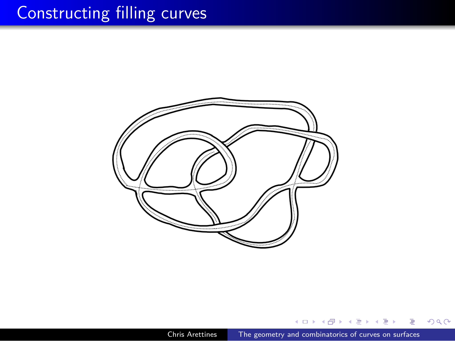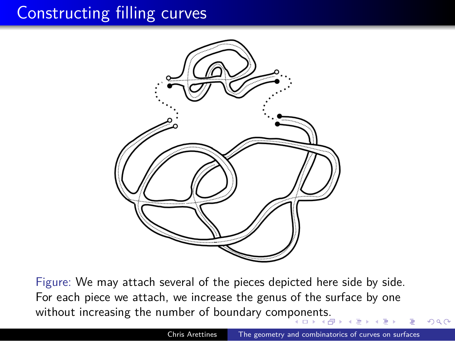

without increasing the number of boundary components.<br>Note that the set of boundary components.  $\overline{\Xi}$  . Figure: We may attach several of the pieces depicted here side by side. For each piece we attach, we increase the genus of the surface by one

.  $\equiv$  990 Chris Arettines The geometry and combinatorics of curves on surfaces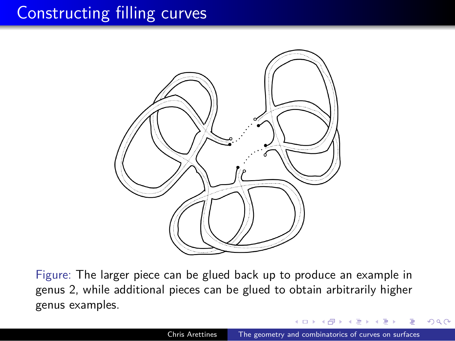

Figure: The larger piece can be glued back up to produce an example in genus 2, while additional pieces can be glued to obtain arbitrarily higher genus examples.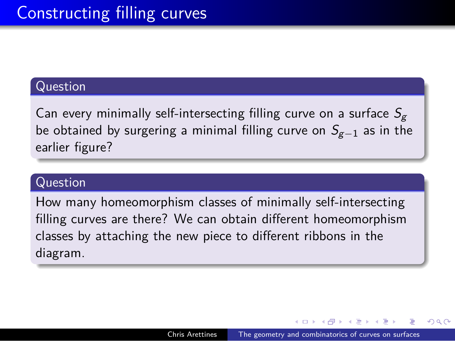## Question

Can every minimally self-intersecting filling curve on a surface  $S_{\rm g}$ be obtained by surgering a minimal filling curve on Sg*−*<sup>1</sup> as in the earlier figure?

#### Question

How many homeomorphism classes of minimally self-intersecting filling curves are there? We can obtain different homeomorphism classes by attaching the new piece to different ribbons in the diagram.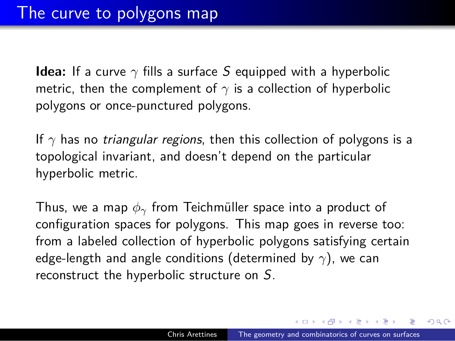## The curve to polygons map

**Idea:** If a curve *γ* fills a surface S equipped with a hyperbolic metric, then the complement of *γ* is a collection of hyperbolic polygons or once-punctured polygons.

If  $\gamma$  has no *triangular regions*, then this collection of polygons is a topological invariant, and doesn't depend on the particular hyperbolic metric.

Thus, we a map  $\phi_{\gamma}$  from Teichmüller space into a product of configuration spaces for polygons. This map goes in reverse too: from a labeled collection of hyperbolic polygons satisfying certain edge-length and angle conditions (determined by *γ*), we can reconstruct the hyperbolic structure on S.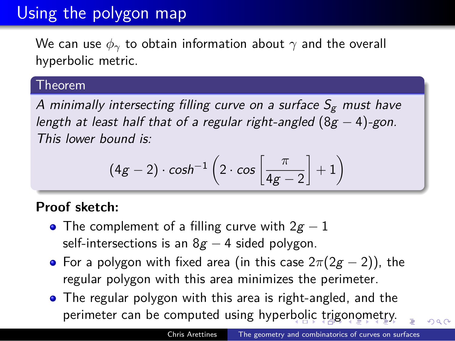## Using the polygon map

We can use  $\phi_{\gamma}$  to obtain information about  $\gamma$  and the overall hyperbolic metric.

#### Theorem

A minimally intersecting filling curve on a surface  $S_g$  must have length at least half that of a regular right-angled (8g *−* 4)-gon. This lower bound is:

$$
(4g-2)\cdot \cosh^{-1}\left(2\cdot \cos\left[\frac{\pi}{4g-2}\right]+1\right)
$$

**Proof sketch:**

- The complement of a filling curve with 2g *−* 1 self-intersections is an 8g − 4 sided polygon.
- For a polygon with fixed area (in this case 2*π*(2g *−* 2)), the regular polygon with this area minimizes the perimeter.
- perimeter can be computed using hyperbolic trigonometry. . . . . .  $2QQ$ The regular polygon with this area is right-angled, and the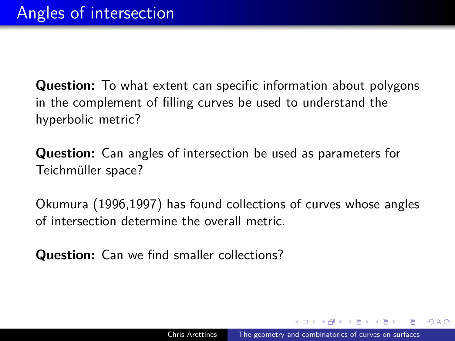**Question:** To what extent can specific information about polygons in the complement of filling curves be used to understand the hyperbolic metric?

**Question:** Can angles of intersection be used as parameters for Teichmüller space?

Okumura (1996,1997) has found collections of curves whose angles of intersection determine the overall metric.

**Question:** Can we find smaller collections?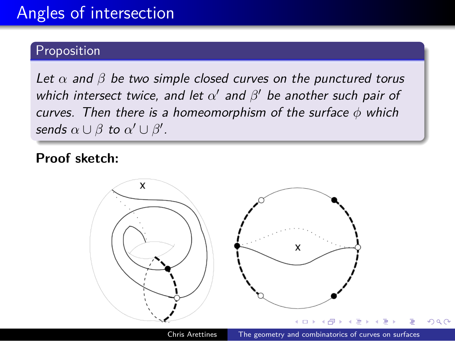## **Proposition**

Let  $\alpha$  and  $\beta$  be two simple closed curves on the punctured torus which intersect twice, and let *α ′* and *β ′* be another such pair of curves. Then there is a homeomorphism of the surface *ϕ* which sends  $\alpha \cup \beta$  to  $\alpha' \cup \beta'$ .

### **Proof sketch:**

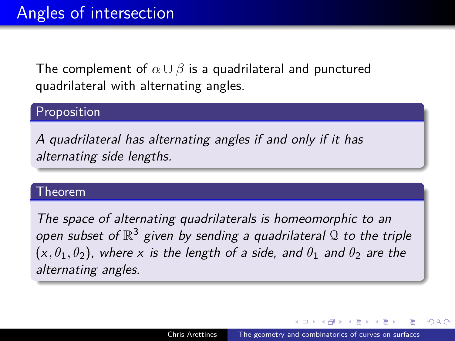The complement of  $\alpha \cup \beta$  is a quadrilateral and punctured quadrilateral with alternating angles.

## Proposition

A quadrilateral has alternating angles if and only if it has alternating side lengths.

### Theorem

The space of alternating quadrilaterals is homeomorphic to an open subset of  $\mathbb{R}^3$  given by sending a quadrilateral  $\mathfrak Q$  to the triple  $(x, \theta_1, \theta_2)$ , where x is the length of a side, and  $\theta_1$  and  $\theta_2$  are the alternating angles.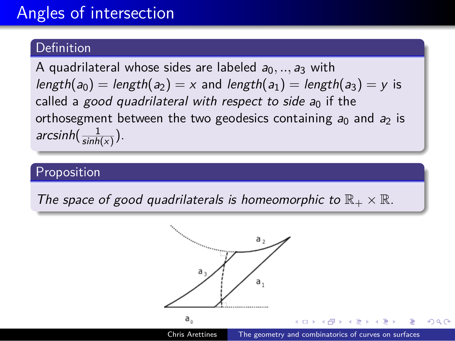#### Definition

A quadrilateral whose sides are labeled  $a_0, ..., a_3$  with  $length(a_0) = length(a_2) = x$  and  $length(a_1) = length(a_3) = y$  is called a good quadrilateral with respect to side  $a_0$  if the orthosegment between the two geodesics containing  $a_0$  and  $a_2$  is arcsinh $\left(\frac{1}{\sinh}\right)$  $\frac{1}{\sinh(x)}$ ).

## Proposition

The space of good quadrilaterals is homeomorphic to  $\mathbb{R}_+ \times \mathbb{R}$ .

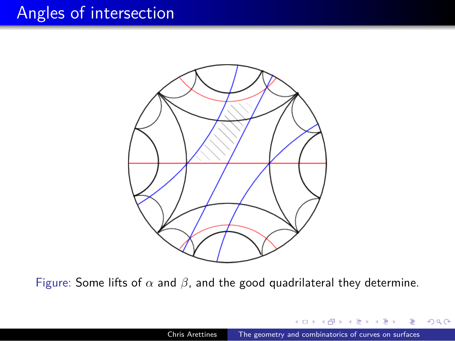

Figure: Some lifts of *α* and *β*, and the good quadrilateral they determine.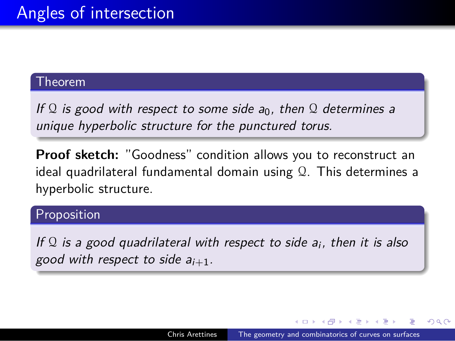## Theorem

If  $\mathfrak Q$  is good with respect to some side  $a_0$ , then  $\mathfrak Q$  determines a unique hyperbolic structure for the punctured torus.

**Proof sketch:** "Goodness" condition allows you to reconstruct an ideal quadrilateral fundamental domain using Q. This determines a hyperbolic structure.

## Proposition

If  $\Omega$  is a good quadrilateral with respect to side  $a_i$ , then it is also good with respect to side  $a_{i+1}$ .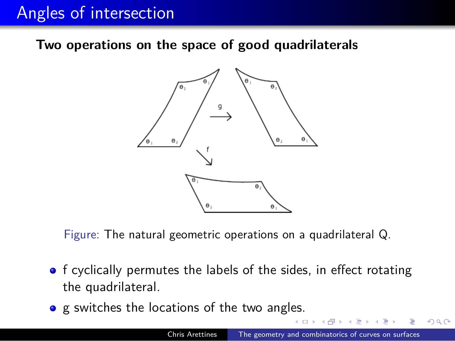**Two operations on the space of good quadrilaterals**





- f cyclically permutes the labels of the sides, in effect rotating the quadrilateral.
- g switches the locations of the two angles.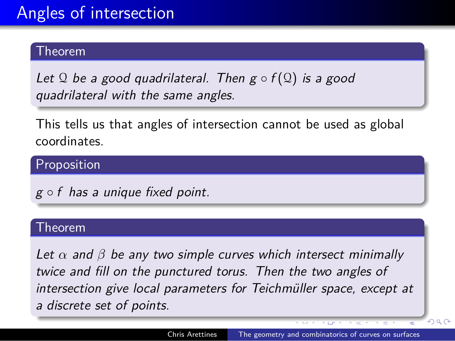#### Theorem

Let Q be a good quadrilateral. Then  $g ∘ f(Q)$  is a good quadrilateral with the same angles.

This tells us that angles of intersection cannot be used as global coordinates.

Proposition

g *◦* f has a unique fixed point.

## Theorem

Let  $\alpha$  and  $\beta$  be any two simple curves which intersect minimally twice and fill on the punctured torus. Then the two angles of intersection give local parameters for Teichmüller space, except at a discrete set of points.

> . . . . . . . . . . . . . . . . . . . .

Chris Arettines The geometry and combinatorics of curves on surfaces

. . . . . . .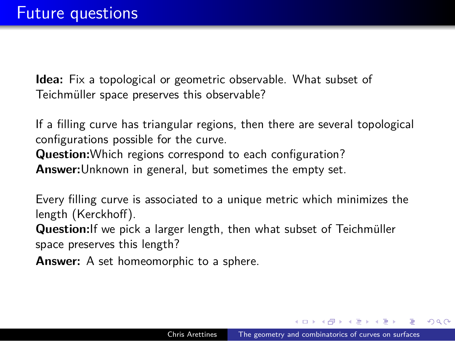## Future questions

**Idea:** Fix a topological or geometric observable. What subset of Teichmüller space preserves this observable?

If a filling curve has triangular regions, then there are several topological configurations possible for the curve.

**Question:**Which regions correspond to each configuration? **Answer:**Unknown in general, but sometimes the empty set.

Every filling curve is associated to a unique metric which minimizes the length (Kerckhoff).

Question:If we pick a larger length, then what subset of Teichmüller space preserves this length?

**Answer:** A set homeomorphic to a sphere.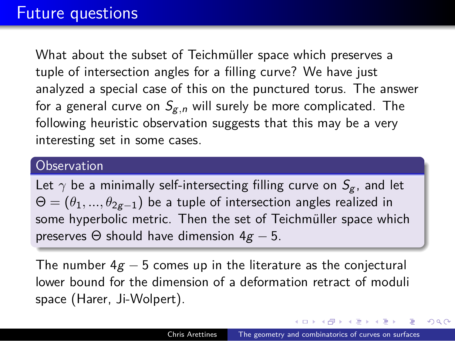## Future questions

What about the subset of Teichmüller space which preserves a tuple of intersection angles for a filling curve? We have just analyzed a special case of this on the punctured torus. The answer for a general curve on  $S_{g,n}$  will surely be more complicated. The following heuristic observation suggests that this may be a very interesting set in some cases.

#### **Observation**

Let  $\gamma$  be a minimally self-intersecting filling curve on  $S_g$ , and let Θ = (*θ*1*, ..., θ*2g*−*1) be a tuple of intersection angles realized in some hyperbolic metric. Then the set of Teichmüller space which preserves Θ should have dimension 4g *−* 5.

The number 4g *−* 5 comes up in the literature as the conjectural lower bound for the dimension of a deformation retract of moduli space (Harer, Ji-Wolpert).